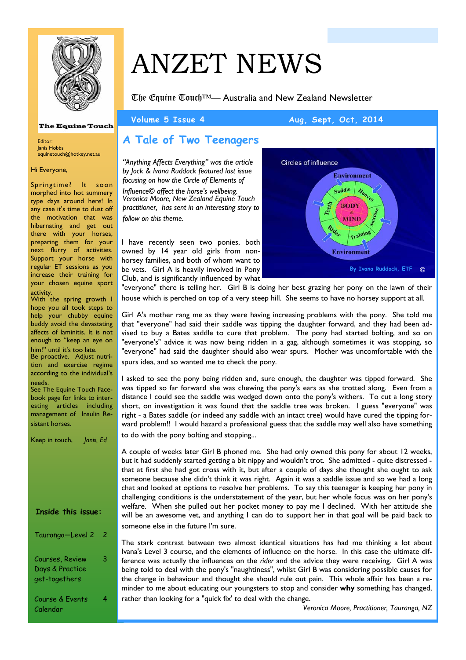

### **The Equine Touch**

Editor: Janis Hobbs equinetouch@hotkey.net.au

### Hi Everyone,

Springtime? It soon morphed into hot summery type days around here! In any case it's time to dust off the motivation that was hibernating and get out there with your horses, preparing them for your next flurry of activities. Support your horse with regular ET sessions as you increase their training for your chosen equine sport activity.

With the spring growth I hope you all took steps to help your chubby equine buddy avoid the devastating affects of laminitis. It is not enough to "keep an eye on

him!" until it's too late. Be proactive. Adjust nutrition and exercise regime according to the individual's needs.

See The Equine Touch Facebook page for links to interesting articles including management of Insulin Resistant horses.

| Keep in touch,<br>Janis, Ed                         |   |
|-----------------------------------------------------|---|
|                                                     |   |
| <b>Inside this issue:</b>                           |   |
| Tauranga-Level 2                                    | 2 |
| Courses, Review<br>Days & Practice<br>get-togethers | 3 |
| Course & Events<br>Calendar                         |   |

# ANZET NEWS

The Equine Touch™— Australia and New Zealand Newsletter

### Volume 5 Issue 4 Aug, Sept, Oct, 2014

# **A Tale of Two Teenagers**

*"Anything Affects Everything" was the article by Jock & Ivana Ruddock featured last issue focusing on how the Circle of Elements of Influence© affect the horse's wellbeing. Veronica Moore, New Zealand Equine Touch practitioner, has sent in an interesting story to* 

*follow on this theme.* 

I have recently seen two ponies, both owned by 14 year old girls from nonhorsey families, and both of whom want to be vets. Girl A is heavily involved in Pony Club, and is significantly influenced by what



"everyone" there is telling her. Girl B is doing her best grazing her pony on the lawn of their house which is perched on top of a very steep hill. She seems to have no horsey support at all.

Girl A's mother rang me as they were having increasing problems with the pony. She told me that "everyone" had said their saddle was tipping the daughter forward, and they had been advised to buy a Bates saddle to cure that problem. The pony had started bolting, and so on "everyone's" advice it was now being ridden in a gag, although sometimes it was stopping, so "everyone" had said the daughter should also wear spurs. Mother was uncomfortable with the spurs idea, and so wanted me to check the pony.

I asked to see the pony being ridden and, sure enough, the daughter was tipped forward. She was tipped so far forward she was chewing the pony's ears as she trotted along. Even from a distance I could see the saddle was wedged down onto the pony's withers. To cut a long story short, on investigation it was found that the saddle tree was broken. I guess "everyone" was right - a Bates saddle (or indeed any saddle with an intact tree) would have cured the tipping forward problem!! I would hazard a professional guess that the saddle may well also have something to do with the pony bolting and stopping...

A couple of weeks later Girl B phoned me. She had only owned this pony for about 12 weeks, but it had suddenly started getting a bit nippy and wouldn't trot. She admitted - quite distressed that at first she had got cross with it, but after a couple of days she thought she ought to ask someone because she didn't think it was right. Again it was a saddle issue and so we had a long chat and looked at options to resolve her problems. To say this teenager is keeping her pony in challenging conditions is the understatement of the year, but her whole focus was on her pony's welfare. When she pulled out her pocket money to pay me I declined. With her attitude she will be an awesome vet, and anything I can do to support her in that goal will be paid back to someone else in the future I'm sure.

The stark contrast between two almost identical situations has had me thinking a lot about Ivana's Level 3 course, and the elements of influence on the horse. In this case the ultimate difference was actually the influences on the *rider* and the advice they were receiving. Girl A was being told to deal with the pony's "naughtiness", whilst Girl B was considering possible causes for the change in behaviour and thought she should rule out pain. This whole affair has been a reminder to me about educating our youngsters to stop and consider **why** something has changed, rather than looking for a "quick fix' to deal with the change.

*Veronica Moore, Practitioner, Tauranga, NZ*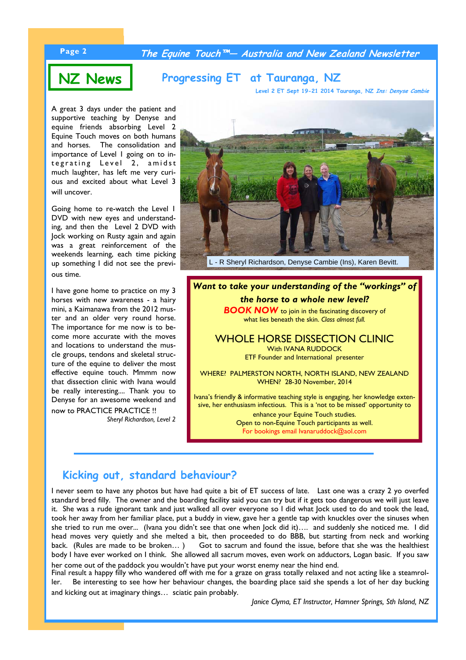## **Page 2 The Equine Touch™— Australia and New Zealand Newsletter**

# **NZ News Progressing ET at Tauranga, NZ**

**Level 2 ET Sept 19-21 2014 Tauranga, NZ Ins: Denyse Cambie**

A great 3 days under the patient and supportive teaching by Denyse and equine friends absorbing Level 2 Equine Touch moves on both humans and horses. The consolidation and importance of Level 1 going on to integrating Level 2, amidst much laughter, has left me very curious and excited about what Level 3 will uncover.

Going home to re-watch the Level 1 DVD with new eyes and understanding, and then the Level 2 DVD with Jock working on Rusty again and again was a great reinforcement of the weekends learning, each time picking up something I did not see the previous time.

I have gone home to practice on my 3 horses with new awareness - a hairy mini, a Kaimanawa from the 2012 muster and an older very round horse. The importance for me now is to become more accurate with the moves and locations to understand the muscle groups, tendons and skeletal structure of the equine to deliver the most effective equine touch. Mmmm now that dissection clinic with Ivana would be really interesting.... Thank you to Denyse for an awesome weekend and now to PRACTICE PRACTICE !!

*Sheryl Richardson, Level 2* 



*Want to take your understanding of the "workings" of the horse to a whole new level?*  **BOOK NOW** to join in the fascinating discovery of what lies beneath the skin. *Class almost full.*

WHOLE HORSE DISSECTION CLINIC With IVANA RUDDOCK ETF Founder and International presenter

WHERE? PALMERSTON NORTH, NORTH ISLAND, NEW ZEALAND WHEN? 28-30 November, 2014

Ivana's friendly & informative teaching style is engaging, her knowledge extensive, her enthusiasm infectious. This is a 'not to be missed' opportunity to

> enhance your Equine Touch studies. Open to non-Equine Touch participants as well. For bookings email Ivanaruddock@aol.com

# **Kicking out, standard behaviour?**

I never seem to have any photos but have had quite a bit of ET success of late. Last one was a crazy 2 yo overfed standard bred filly. The owner and the boarding facility said you can try but if it gets too dangerous we will just leave it. She was a rude ignorant tank and just walked all over everyone so I did what Jock used to do and took the lead, took her away from her familiar place, put a buddy in view, gave her a gentle tap with knuckles over the sinuses when she tried to run me over... (Ivana you didn't see that one when Jock did it)…. and suddenly she noticed me. I did head moves very quietly and she melted a bit, then proceeded to do BBB, but starting from neck and working back. (Rules are made to be broken...) Got to sacrum and found the issue, before that she was the healthiest body I have ever worked on I think. She allowed all sacrum moves, even work on adductors, Logan basic. If you saw her come out of the paddock you wouldn't have put your worst enemy near the hind end.

Final result a happy filly who wandered off with me for a graze on grass totally relaxed and not acting like a steamroller. Be interesting to see how her behaviour changes, the boarding place said she spends a lot of her day bucking and kicking out at imaginary things… sciatic pain probably.

*Janice Clyma, ET Instructor, Hamner Springs, Sth Island, NZ*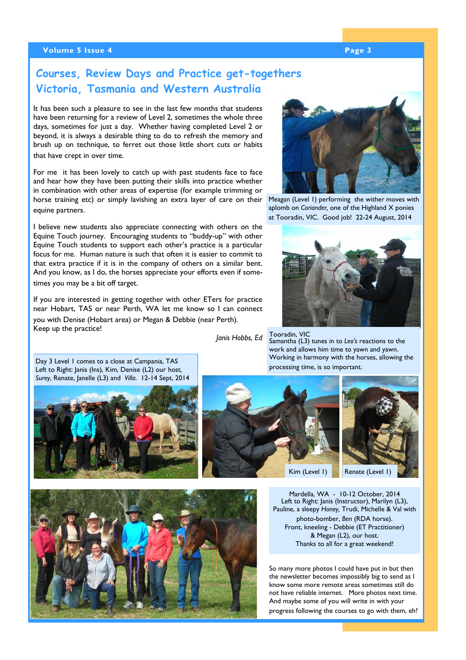### **Volume 5 Issue 4 Page 3 According to the Contract of the Page 3 According to the Page 3**

# **Courses, Review Days and Practice get-togethers Victoria, Tasmania and Western Australia**

It has been such a pleasure to see in the last few months that students have been returning for a review of Level 2, sometimes the whole three days, sometimes for just a day. Whether having completed Level 2 or beyond, it is always a desirable thing to do to refresh the memory and brush up on technique, to ferret out those little short cuts or habits that have crept in over time.

For me it has been lovely to catch up with past students face to face and hear how they have been putting their skills into practice whether in combination with other areas of expertise (for example trimming or horse training etc) or simply lavishing an extra layer of care on their equine partners.

I believe new students also appreciate connecting with others on the Equine Touch journey. Encouraging students to "buddy-up" with other Equine Touch students to support each other's practice is a particular focus for me. Human nature is such that often it is easier to commit to that extra practice if it is in the company of others on a similar bent. And you know, as I do, the horses appreciate your efforts even if sometimes you may be a bit off target.

If you are interested in getting together with other ETers for practice near Hobart, TAS or near Perth, WA let me know so I can connect you with Denise (Hobart area) or Megan & Debbie (near Perth). Keep up the practice!

*Janis Hobbs, Ed* 



Meagan (Level 1) performing the wither moves with aplomb on *Coriander,* one of the Highland X ponies at Tooradin, VIC. Good job! 22-24 August, 2014



Tooradin, VIC Samantha (L3) tunes in to *Leo's* reactions to the work and allows him time to yawn and yawn. Working in harmony with the horses, allowing the processing time, is so important.

Day 3 Level 1 comes to a close at Campania, TAS Left to Right: Janis (Ins), Kim, Denise (L2) our host, *Surey*, Renate, Janelle (L3) and *Villa*. 12-14 Sept, 2014









Mardella, WA - 10-12 October, 2014 Left to Right: Janis (Instructor), Marilyn (L3), Pauline, a sleepy *Honey,* Trudi, Michelle & Val with photo-bomber, *Ben* (RDA horse). Front, kneeling - Debbie (ET Practitioner) & Megan (L2), our host. Thanks to all for a great weekend!

So many more photos I could have put in but then the newsletter becomes impossibly big to send as I know some more remote areas sometimes still do not have reliable internet. More photos next time. And maybe some of you will write in with your progress following the courses to go with them, eh?